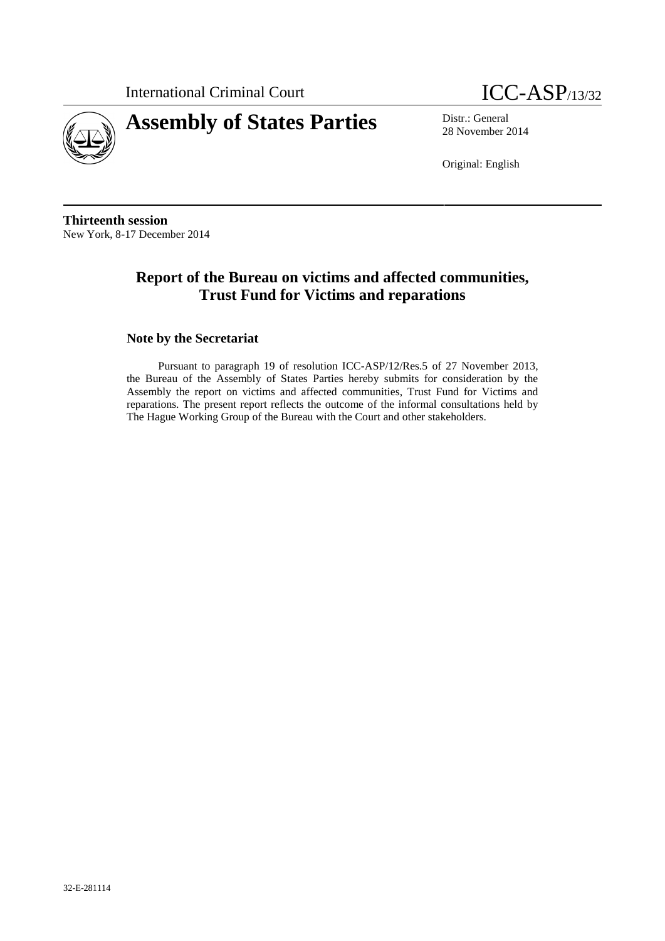International Criminal Court **ICC-ASP**/13/32





28 November 2014

Original: English

**Thirteenth session** New York, 8-17 December 2014

# **Report of the Bureau on victims and affected communities, Trust Fund for Victims and reparations**

## **Note by the Secretariat**

Pursuant to paragraph 19 of resolution ICC-ASP/12/Res.5 of 27 November 2013, the Bureau of the Assembly of States Parties hereby submits for consideration by the Assembly the report on victims and affected communities, Trust Fund for Victims and reparations. The present report reflects the outcome of the informal consultations held by The Hague Working Group of the Bureau with the Court and other stakeholders.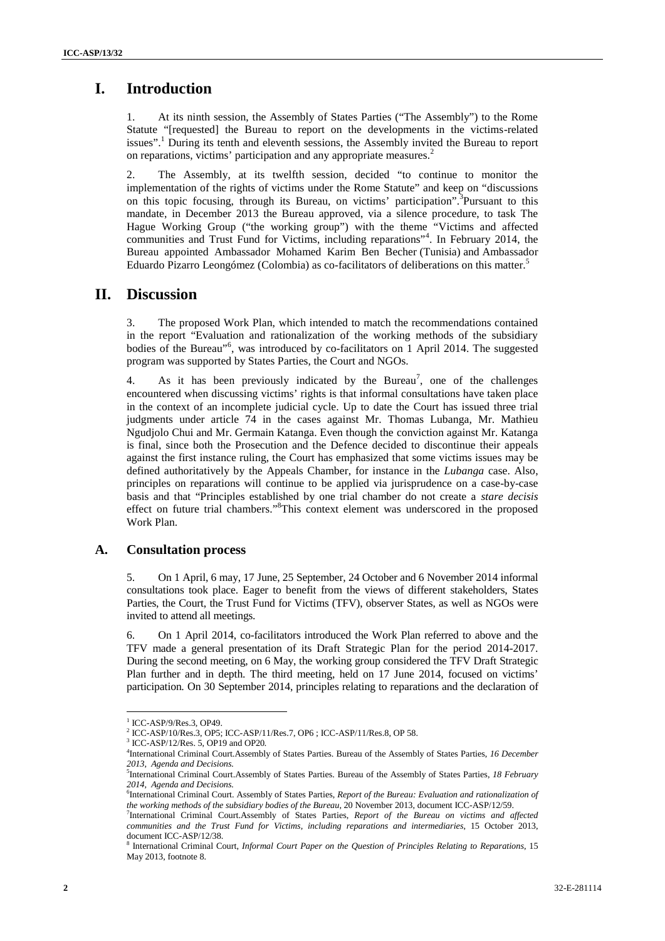# **I. Introduction**

At its ninth session, the Assembly of States Parties ("The Assembly") to the Rome Statute "[requested] the Bureau to report on the developments in the victims-related issues".<sup>1</sup> During its tenth and eleventh sessions, the Assembly invited the Bureau to report on reparations, victims' participation and any appropriate measures.<sup>2</sup>

2. The Assembly, at its twelfth session, decided "to continue to monitor the implementation of the rights of victims under the Rome Statute" and keep on "discussions on this topic focusing, through its Bureau, on victims' participation".<sup>3</sup>Pursuant to this mandate, in December 2013 the Bureau approved, via a silence procedure, to task The Hague Working Group ("the working group") with the theme "Victims and affected communities and Trust Fund for Victims, including reparations"<sup>4</sup> . In February 2014, the Bureau appointed Ambassador Mohamed Karim Ben Becher (Tunisia) and Ambassador Eduardo Pizarro Leongómez (Colombia) as co-facilitators of deliberations on this matter.<sup>5</sup>

## **II. Discussion**

3. The proposed Work Plan, which intended to match the recommendations contained in the report "Evaluation and rationalization of the working methods of the subsidiary bodies of the Bureau"<sup>6</sup>, was introduced by co-facilitators on 1 April 2014. The suggested program was supported by States Parties, the Court and NGOs.

4. As it has been previously indicated by the Bureau<sup>7</sup>, one of the challenges encountered when discussing victims' rights is that informal consultations have taken place in the context of an incomplete judicial cycle. Up to date the Court has issued three trial judgments under article 74 in the cases against Mr. Thomas Lubanga, Mr. Mathieu Ngudjolo Chui and Mr. Germain Katanga. Even though the conviction against Mr. Katanga is final, since both the Prosecution and the Defence decided to discontinue their appeals against the first instance ruling, the Court has emphasized that some victims issues may be defined authoritatively by the Appeals Chamber, for instance in the *Lubanga* case. Also, principles on reparations will continue to be applied via jurisprudence on a case-by-case basis and that "Principles established by one trial chamber do not create a *stare decisis* effect on future trial chambers."<sup>8</sup>This context element was underscored in the proposed Work Plan.

## **A. Consultation process**

5. On 1 April, 6 may, 17 June, 25 September, 24 October and 6 November 2014 informal consultations took place. Eager to benefit from the views of different stakeholders, States Parties, the Court, the Trust Fund for Victims (TFV), observer States, as well as NGOs were invited to attend all meetings.

6. On 1 April 2014, co-facilitators introduced the Work Plan referred to above and the TFV made a general presentation of its Draft Strategic Plan for the period 2014-2017. During the second meeting, on 6 May, the working group considered the TFV Draft Strategic Plan further and in depth. The third meeting, held on 17 June 2014, focused on victims' participation. On 30 September 2014, principles relating to reparations and the declaration of

<sup>&</sup>lt;sup>1</sup> ICC-ASP/9/Res.3, OP49.<br><sup>2</sup> ICC-ASP/10/Res.3, OP5; ICC-ASP/11/Res.7, OP6 ; ICC-ASP/11/Res.8, OP 58.

<sup>3</sup> ICC-ASP/12/Res. 5, OP19 and OP20*.*

<sup>4</sup>International Criminal Court.Assembly of States Parties. Bureau of the Assembly of States Parties, *16 December 2013, Agenda and Decisions.*

<sup>5</sup>International Criminal Court.Assembly of States Parties. Bureau of the Assembly of States Parties, *18 February*

<sup>&</sup>lt;sup>6</sup>International Criminal Court. Assembly of States Parties, *Report of the Bureau: Evaluation and rationalization of the working methods of the subsidiary bodies of the Bureau*, 20 November 2013, document ICC-ASP/12/59.

<sup>7</sup>International Criminal Court.Assembly of States Parties, *Report of the Bureau on victims and affected communities and the Trust Fund for Victims, including reparations and intermediaries*, 15 October 2013, document ICC-ASP/12/38.

<sup>8</sup> International Criminal Court, *Informal Court Paper on the Question of Principles Relating to Reparations*, 15 May 2013, footnote 8.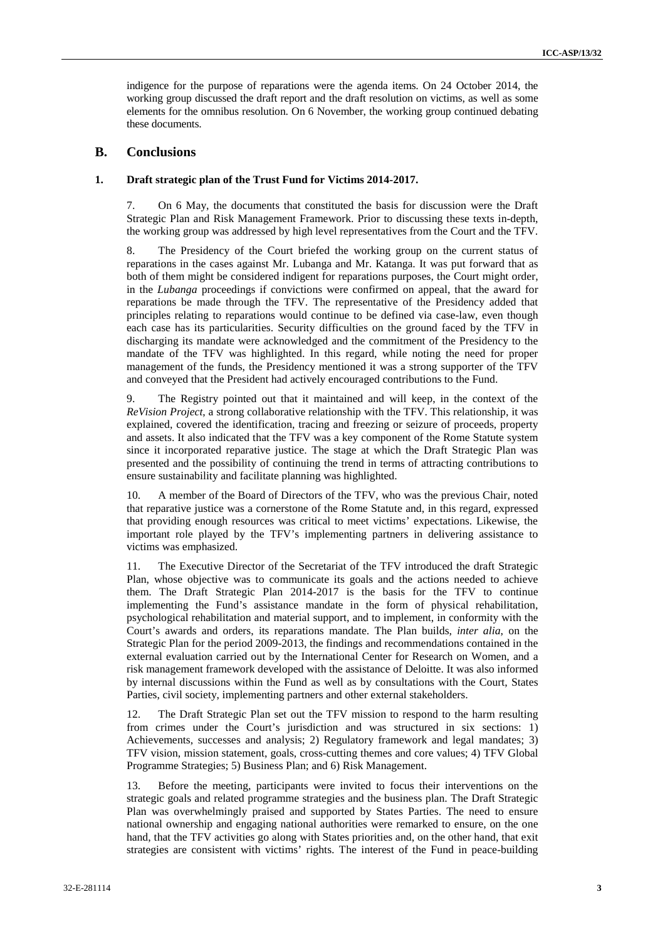indigence for the purpose of reparations were the agenda items. On 24 October 2014, the working group discussed the draft report and the draft resolution on victims, as well as some elements for the omnibus resolution. On 6 November, the working group continued debating these documents.

### **B. Conclusions**

#### **1. Draft strategic plan of the Trust Fund for Victims 2014-2017.**

7. On 6 May, the documents that constituted the basis for discussion were the Draft Strategic Plan and Risk Management Framework. Prior to discussing these texts in-depth, the working group was addressed by high level representatives from the Court and the TFV.

8. The Presidency of the Court briefed the working group on the current status of reparations in the cases against Mr. Lubanga and Mr. Katanga. It was put forward that as both of them might be considered indigent for reparations purposes, the Court might order, in the *Lubanga* proceedings if convictions were confirmed on appeal, that the award for reparations be made through the TFV. The representative of the Presidency added that principles relating to reparations would continue to be defined via case-law, even though each case has its particularities. Security difficulties on the ground faced by the TFV in discharging its mandate were acknowledged and the commitment of the Presidency to the mandate of the TFV was highlighted. In this regard, while noting the need for proper management of the funds, the Presidency mentioned it was a strong supporter of the TFV and conveyed that the President had actively encouraged contributions to the Fund.

9. The Registry pointed out that it maintained and will keep, in the context of the *ReVision Project*, a strong collaborative relationship with the TFV. This relationship, it was explained, covered the identification, tracing and freezing or seizure of proceeds, property and assets. It also indicated that the TFV was a key component of the Rome Statute system since it incorporated reparative justice. The stage at which the Draft Strategic Plan was presented and the possibility of continuing the trend in terms of attracting contributions to ensure sustainability and facilitate planning was highlighted.

10. A member of the Board of Directors of the TFV, who was the previous Chair, noted that reparative justice was a cornerstone of the Rome Statute and, in this regard, expressed that providing enough resources was critical to meet victims' expectations. Likewise, the important role played by the TFV's implementing partners in delivering assistance to victims was emphasized.

11. The Executive Director of the Secretariat of the TFV introduced the draft Strategic Plan, whose objective was to communicate its goals and the actions needed to achieve them. The Draft Strategic Plan 2014-2017 is the basis for the TFV to continue implementing the Fund's assistance mandate in the form of physical rehabilitation, psychological rehabilitation and material support, and to implement, in conformity with the Court's awards and orders, its reparations mandate. The Plan builds, *inter alia*, on the Strategic Plan for the period 2009-2013, the findings and recommendations contained in the external evaluation carried out by the International Center for Research on Women, and a risk management framework developed with the assistance of Deloitte. It was also informed by internal discussions within the Fund as well as by consultations with the Court, States Parties, civil society, implementing partners and other external stakeholders.

12. The Draft Strategic Plan set out the TFV mission to respond to the harm resulting from crimes under the Court's jurisdiction and was structured in six sections: 1) Achievements, successes and analysis; 2) Regulatory framework and legal mandates; 3) TFV vision, mission statement, goals, cross-cutting themes and core values; 4) TFV Global Programme Strategies; 5) Business Plan; and 6) Risk Management.

13. Before the meeting, participants were invited to focus their interventions on the strategic goals and related programme strategies and the business plan. The Draft Strategic Plan was overwhelmingly praised and supported by States Parties. The need to ensure national ownership and engaging national authorities were remarked to ensure, on the one hand, that the TFV activities go along with States priorities and, on the other hand, that exit strategies are consistent with victims' rights. The interest of the Fund in peace-building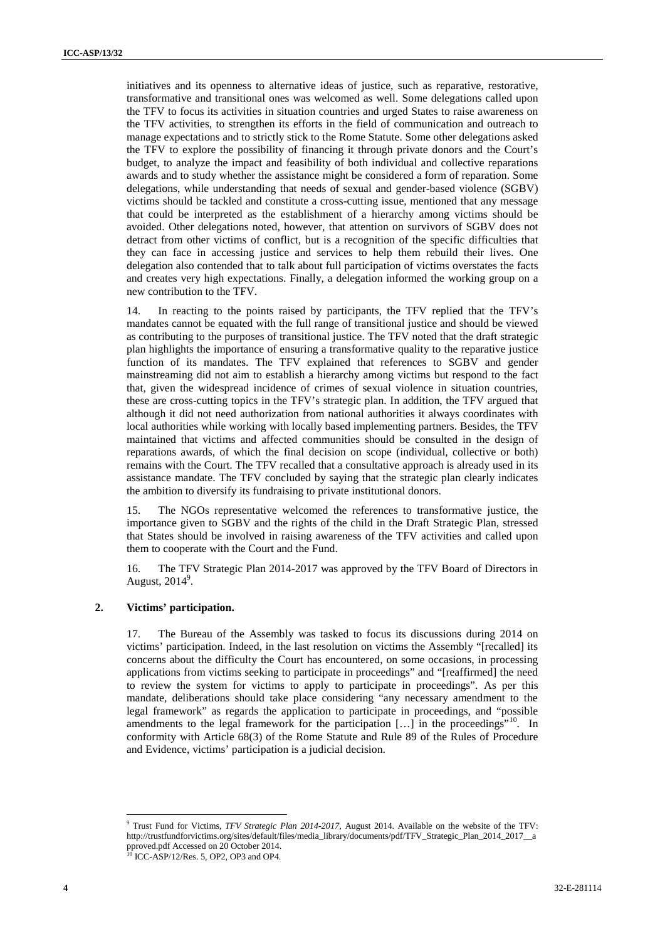initiatives and its openness to alternative ideas of justice, such as reparative, restorative, transformative and transitional ones was welcomed as well. Some delegations called upon the TFV to focus its activities in situation countries and urged States to raise awareness on the TFV activities, to strengthen its efforts in the field of communication and outreach to manage expectations and to strictly stick to the Rome Statute. Some other delegations asked the TFV to explore the possibility of financing it through private donors and the Court's budget, to analyze the impact and feasibility of both individual and collective reparations awards and to study whether the assistance might be considered a form of reparation. Some delegations, while understanding that needs of sexual and gender-based violence (SGBV) victims should be tackled and constitute a cross-cutting issue, mentioned that any message that could be interpreted as the establishment of a hierarchy among victims should be avoided. Other delegations noted, however, that attention on survivors of SGBV does not detract from other victims of conflict, but is a recognition of the specific difficulties that they can face in accessing justice and services to help them rebuild their lives. One delegation also contended that to talk about full participation of victims overstates the facts and creates very high expectations. Finally, a delegation informed the working group on a new contribution to the TFV.

14. In reacting to the points raised by participants, the TFV replied that the TFV's mandates cannot be equated with the full range of transitional justice and should be viewed as contributing to the purposes of transitional justice. The TFV noted that the draft strategic plan highlights the importance of ensuring a transformative quality to the reparative justice function of its mandates. The TFV explained that references to SGBV and gender mainstreaming did not aim to establish a hierarchy among victims but respond to the fact that, given the widespread incidence of crimes of sexual violence in situation countries, these are cross-cutting topics in the TFV's strategic plan. In addition, the TFV argued that although it did not need authorization from national authorities it always coordinates with local authorities while working with locally based implementing partners. Besides, the TFV maintained that victims and affected communities should be consulted in the design of reparations awards, of which the final decision on scope (individual, collective or both) remains with the Court. The TFV recalled that a consultative approach is already used in its assistance mandate. The TFV concluded by saying that the strategic plan clearly indicates the ambition to diversify its fundraising to private institutional donors.

15. The NGOs representative welcomed the references to transformative justice, the importance given to SGBV and the rights of the child in the Draft Strategic Plan, stressed that States should be involved in raising awareness of the TFV activities and called upon them to cooperate with the Court and the Fund.

16. The TFV Strategic Plan 2014-2017 was approved by the TFV Board of Directors in August,  $2014^9$ .

#### **2. Victims' participation.**

17. The Bureau of the Assembly was tasked to focus its discussions during 2014 on victims' participation. Indeed, in the last resolution on victims the Assembly "[recalled] its concerns about the difficulty the Court has encountered, on some occasions, in processing applications from victims seeking to participate in proceedings" and "[reaffirmed] the need to review the system for victims to apply to participate in proceedings". As per this mandate, deliberations should take place considering "any necessary amendment to the legal framework" as regards the application to participate in proceedings, and "possible amendments to the legal framework for the participation [...] in the proceedings"<sup>10</sup>. In conformity with Article 68(3) of the Rome Statute and Rule 89 of the Rules of Procedure and Evidence, victims' participation is a judicial decision.

<sup>9</sup> Trust Fund for Victims, *TFV Strategic Plan 2014-2017*, August 2014. Available on the website of the TFV: http://trustfundforvictims.org/sites/default/files/media\_library/documents/pdf/TFV\_Strategic\_Plan\_2014\_2017\_\_a pproved.pdf Accessed on 20 October 2014. <sup>10</sup> ICC-ASP/12/Res. 5, OP2, OP3 and OP4*.*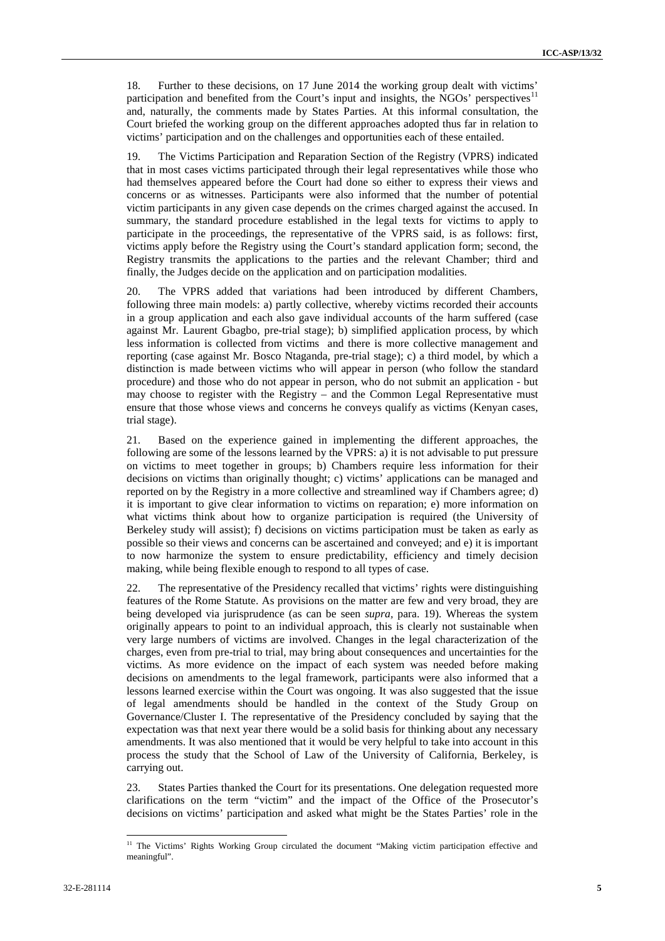18. Further to these decisions, on 17 June 2014 the working group dealt with victims' participation and benefited from the Court's input and insights, the NGOs' perspectives<sup>11</sup> and, naturally, the comments made by States Parties. At this informal consultation, the Court briefed the working group on the different approaches adopted thus far in relation to victims' participation and on the challenges and opportunities each of these entailed.

19. The Victims Participation and Reparation Section of the Registry (VPRS) indicated that in most cases victims participated through their legal representatives while those who had themselves appeared before the Court had done so either to express their views and concerns or as witnesses. Participants were also informed that the number of potential victim participants in any given case depends on the crimes charged against the accused. In summary, the standard procedure established in the legal texts for victims to apply to participate in the proceedings, the representative of the VPRS said, is as follows: first, victims apply before the Registry using the Court's standard application form; second, the Registry transmits the applications to the parties and the relevant Chamber; third and finally, the Judges decide on the application and on participation modalities.

20. The VPRS added that variations had been introduced by different Chambers, following three main models: a) partly collective, whereby victims recorded their accounts in a group application and each also gave individual accounts of the harm suffered (case against Mr. Laurent Gbagbo, pre-trial stage); b) simplified application process, by which less information is collected from victims and there is more collective management and reporting (case against Mr. Bosco Ntaganda, pre-trial stage); c) a third model, by which a distinction is made between victims who will appear in person (who follow the standard procedure) and those who do not appear in person, who do not submit an application - but may choose to register with the Registry – and the Common Legal Representative must ensure that those whose views and concerns he conveys qualify as victims (Kenyan cases, trial stage).

21. Based on the experience gained in implementing the different approaches, the following are some of the lessons learned by the VPRS: a) it is not advisable to put pressure on victims to meet together in groups; b) Chambers require less information for their decisions on victims than originally thought; c) victims' applications can be managed and reported on by the Registry in a more collective and streamlined way if Chambers agree; d) it is important to give clear information to victims on reparation; e) more information on what victims think about how to organize participation is required (the University of Berkeley study will assist); f) decisions on victims participation must be taken as early as possible so their views and concerns can be ascertained and conveyed; and e) it is important to now harmonize the system to ensure predictability, efficiency and timely decision making, while being flexible enough to respond to all types of case.

22. The representative of the Presidency recalled that victims' rights were distinguishing features of the Rome Statute. As provisions on the matter are few and very broad, they are being developed via jurisprudence (as can be seen *supra,* para. 19). Whereas the system originally appears to point to an individual approach, this is clearly not sustainable when very large numbers of victims are involved. Changes in the legal characterization of the charges, even from pre-trial to trial, may bring about consequences and uncertainties for the victims. As more evidence on the impact of each system was needed before making decisions on amendments to the legal framework, participants were also informed that a lessons learned exercise within the Court was ongoing. It was also suggested that the issue of legal amendments should be handled in the context of the Study Group on Governance/Cluster I. The representative of the Presidency concluded by saying that the expectation was that next year there would be a solid basis for thinking about any necessary amendments. It was also mentioned that it would be very helpful to take into account in this process the study that the School of Law of the University of California, Berkeley, is carrying out.

23. States Parties thanked the Court for its presentations. One delegation requested more clarifications on the term "victim" and the impact of the Office of the Prosecutor's decisions on victims' participation and asked what might be the States Parties' role in the

<sup>&</sup>lt;sup>11</sup> The Victims' Rights Working Group circulated the document "Making victim participation effective and meaningful".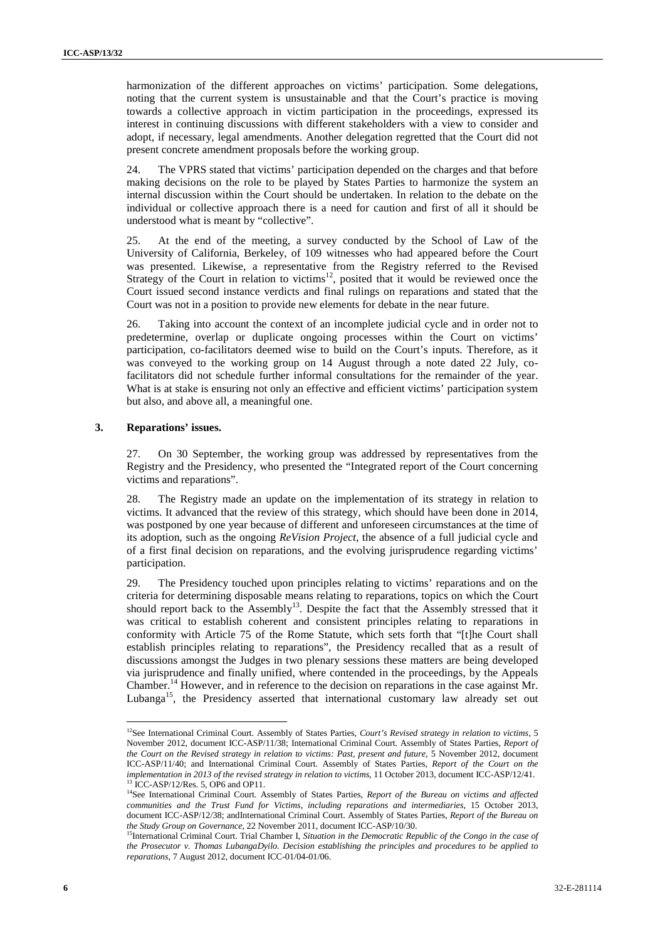harmonization of the different approaches on victims' participation. Some delegations, noting that the current system is unsustainable and that the Court's practice is moving towards a collective approach in victim participation in the proceedings, expressed its interest in continuing discussions with different stakeholders with a view to consider and adopt, if necessary, legal amendments. Another delegation regretted that the Court did not present concrete amendment proposals before the working group.

24. The VPRS stated that victims' participation depended on the charges and that before making decisions on the role to be played by States Parties to harmonize the system an internal discussion within the Court should be undertaken. In relation to the debate on the individual or collective approach there is a need for caution and first of all it should be understood what is meant by "collective".

25. At the end of the meeting, a survey conducted by the School of Law of the University of California, Berkeley, of 109 witnesses who had appeared before the Court was presented. Likewise, a representative from the Registry referred to the Revised Strategy of the Court in relation to victims<sup>12</sup>, posited that it would be reviewed once the Court issued second instance verdicts and final rulings on reparations and stated that the Court was not in a position to provide new elements for debate in the near future.

26. Taking into account the context of an incomplete judicial cycle and in order not to predetermine, overlap or duplicate ongoing processes within the Court on victims' participation, co-facilitators deemed wise to build on the Court's inputs. Therefore, as it was conveyed to the working group on 14 August through a note dated 22 July, cofacilitators did not schedule further informal consultations for the remainder of the year. What is at stake is ensuring not only an effective and efficient victims' participation system but also, and above all, a meaningful one.

#### **3. Reparations' issues.**

27. On 30 September, the working group was addressed by representatives from the Registry and the Presidency, who presented the "Integrated report of the Court concerning victims and reparations".

28. The Registry made an update on the implementation of its strategy in relation to victims. It advanced that the review of this strategy, which should have been done in 2014, was postponed by one year because of different and unforeseen circumstances at the time of its adoption, such as the ongoing *ReVision Project*, the absence of a full judicial cycle and of a first final decision on reparations, and the evolving jurisprudence regarding victims' participation.

29. The Presidency touched upon principles relating to victims' reparations and on the criteria for determining disposable means relating to reparations, topics on which the Court should report back to the Assembly<sup>13</sup>. Despite the fact that the Assembly stressed that it was critical to establish coherent and consistent principles relating to reparations in conformity with Article 75 of the Rome Statute, which sets forth that "[t]he Court shall establish principles relating to reparations", the Presidency recalled that as a result of discussions amongst the Judges in two plenary sessions these matters are being developed via jurisprudence and finally unified, where contended in the proceedings, by the Appeals Chamber.<sup>14</sup> However, and in reference to the decision on reparations in the case against Mr. Lubanga<sup>15</sup>, the Presidency asserted that international customary law already set out

<sup>&</sup>lt;sup>12</sup>See International Criminal Court. Assembly of States Parties, *Court's Revised strategy in relation to victims*, 5 November 2012, document ICC-ASP/11/38; International Criminal Court. Assembly of States Parties, *Report of the Court on the Revised strategy in relation to victims: Past, present and future*, 5 November 2012, document ICC-ASP/11/40; and International Criminal Court. Assembly of States Parties, *Report of the Court on the implementation in 2013 of the revised strategy in relation to victims*, 11 October 2013, document ICC-ASP/12/41.<br><sup>13</sup> ICC-ASP/12/92*6* 5 OPC at 1.0011

<sup>&</sup>lt;sup>13</sup> ICC-ASP/12/Res. 5, OP6 and OP11.<br><sup>14</sup>See International Criminal Court. Assembly of States Parties, *Report of the Bureau on victims and affected communities and the Trust Fund for Victims, including reparations and intermediaries*, 15 October 2013, document ICC-ASP/12/38; andInternational Criminal Court. Assembly of States Parties, *Report of the Bureau on the Study Group on Governance*, 22 November 2011, document ICC-ASP/10/30.

<sup>15</sup>International Criminal Court. Trial Chamber I, *Situation in the Democratic Republic of the Congo in the case of the Prosecutor v. Thomas LubangaDyilo. Decision establishing the principles and procedures to be applied to reparations*, 7 August 2012, document ICC-01/04-01/06.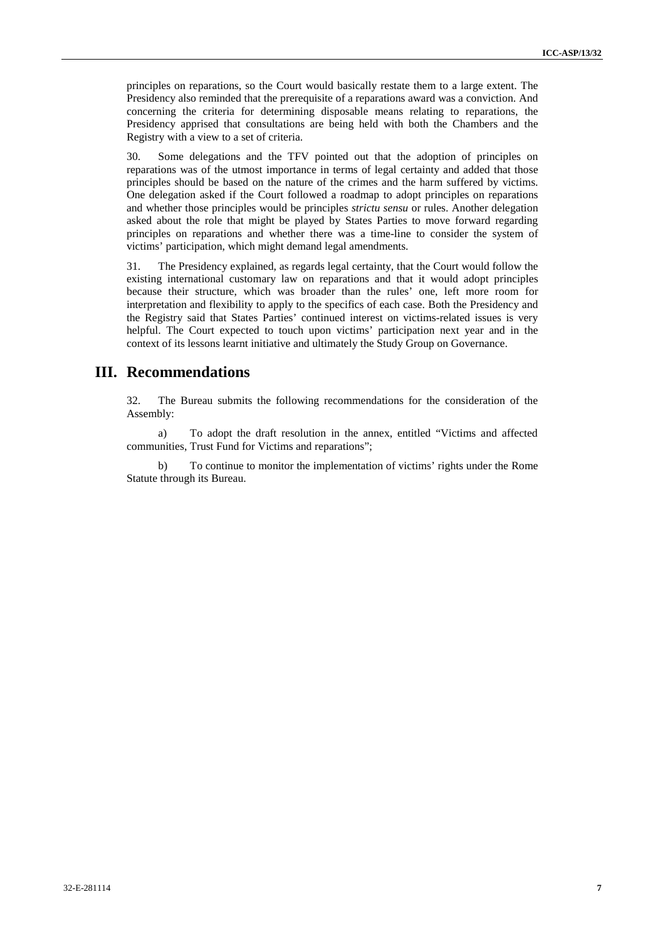principles on reparations, so the Court would basically restate them to a large extent. The Presidency also reminded that the prerequisite of a reparations award was a conviction. And concerning the criteria for determining disposable means relating to reparations, the Presidency apprised that consultations are being held with both the Chambers and the Registry with a view to a set of criteria.

30. Some delegations and the TFV pointed out that the adoption of principles on reparations was of the utmost importance in terms of legal certainty and added that those principles should be based on the nature of the crimes and the harm suffered by victims. One delegation asked if the Court followed a roadmap to adopt principles on reparations and whether those principles would be principles *strictu sensu* or rules. Another delegation asked about the role that might be played by States Parties to move forward regarding principles on reparations and whether there was a time-line to consider the system of victims' participation, which might demand legal amendments.

31. The Presidency explained, as regards legal certainty, that the Court would follow the existing international customary law on reparations and that it would adopt principles because their structure, which was broader than the rules' one, left more room for interpretation and flexibility to apply to the specifics of each case. Both the Presidency and the Registry said that States Parties' continued interest on victims-related issues is very helpful. The Court expected to touch upon victims' participation next year and in the context of its lessons learnt initiative and ultimately the Study Group on Governance.

## **III. Recommendations**

32. The Bureau submits the following recommendations for the consideration of the Assembly:

a) To adopt the draft resolution in the annex, entitled "Victims and affected communities, Trust Fund for Victims and reparations";

b) To continue to monitor the implementation of victims' rights under the Rome Statute through its Bureau.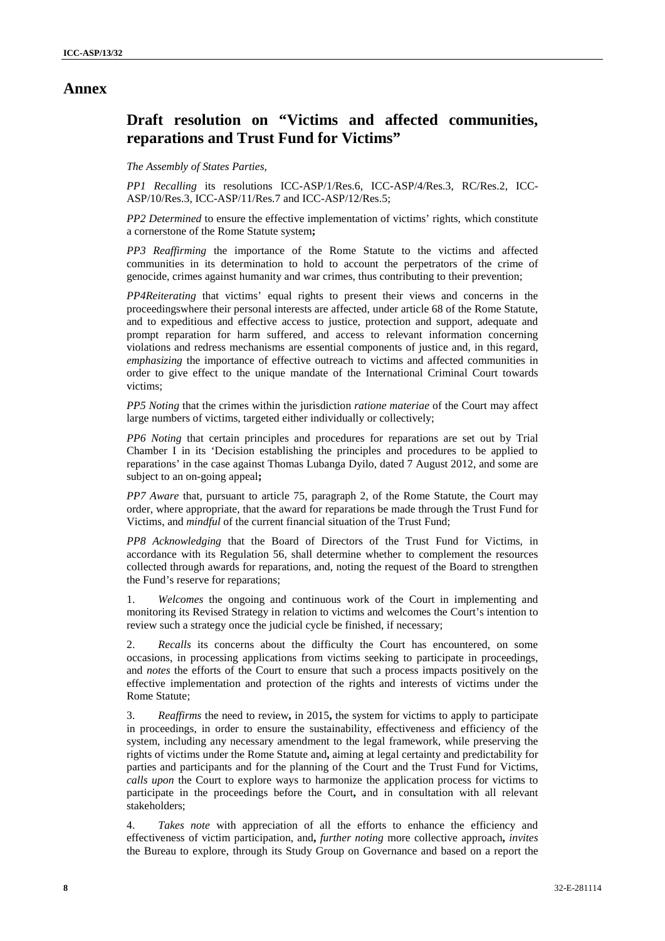## **Annex**

# **Draft resolution on "Victims and affected communities, reparations and Trust Fund for Victims"**

#### *The Assembly of States Parties,*

*PP1 Recalling* its resolutions ICC-ASP/1/Res.6, ICC-ASP/4/Res.3, RC/Res.2, ICC- ASP/10/Res.3, ICC-ASP/11/Res.7 and ICC-ASP/12/Res.5;

*PP2 Determined* to ensure the effective implementation of victims' rights, which constitute a cornerstone of the Rome Statute system**;**

*PP3 Reaffirming* the importance of the Rome Statute to the victims and affected communities in its determination to hold to account the perpetrators of the crime of genocide, crimes against humanity and war crimes, thus contributing to their prevention;

*PP4Reiterating* that victims' equal rights to present their views and concerns in the proceedingswhere their personal interests are affected, under article 68 of the Rome Statute, and to expeditious and effective access to justice, protection and support, adequate and prompt reparation for harm suffered, and access to relevant information concerning violations and redress mechanisms are essential components of justice and, in this regard, *emphasizing* the importance of effective outreach to victims and affected communities in order to give effect to the unique mandate of the International Criminal Court towards victims;

*PP5 Noting* that the crimes within the jurisdiction *ratione materiae* of the Court may affect large numbers of victims, targeted either individually or collectively;

*PP6 Noting* that certain principles and procedures for reparations are set out by Trial Chamber I in its 'Decision establishing the principles and procedures to be applied to reparations' in the case against Thomas Lubanga Dyilo, dated 7 August 2012, and some are subject to an on-going appeal**;**

*PP7 Aware* that, pursuant to article 75, paragraph 2, of the Rome Statute, the Court may order, where appropriate, that the award for reparations be made through the Trust Fund for Victims, and *mindful* of the current financial situation of the Trust Fund;

*PP8 Acknowledging* that the Board of Directors of the Trust Fund for Victims, in accordance with its Regulation 56, shall determine whether to complement the resources collected through awards for reparations, and, noting the request of the Board to strengthen the Fund's reserve for reparations;

1. *Welcomes* the ongoing and continuous work of the Court in implementing and monitoring its Revised Strategy in relation to victims and welcomes the Court's intention to review such a strategy once the judicial cycle be finished, if necessary;

2. *Recalls* its concerns about the difficulty the Court has encountered, on some occasions, in processing applications from victims seeking to participate in proceedings, and *notes* the efforts of the Court to ensure that such a process impacts positively on the effective implementation and protection of the rights and interests of victims under the Rome Statute;

3. *Reaffirms* the need to review**,** in 2015**,** the system for victims to apply to participate in proceedings, in order to ensure the sustainability, effectiveness and efficiency of the system, including any necessary amendment to the legal framework, while preserving the rights of victims under the Rome Statute and**,** aiming at legal certainty and predictability for parties and participants and for the planning of the Court and the Trust Fund for Victims, *calls upon* the Court to explore ways to harmonize the application process for victims to participate in the proceedings before the Court**,** and in consultation with all relevant stakeholders;

Takes note with appreciation of all the efforts to enhance the efficiency and effectiveness of victim participation, and**,** *further noting* more collective approach**,** *invites* the Bureau to explore, through its Study Group on Governance and based on a report the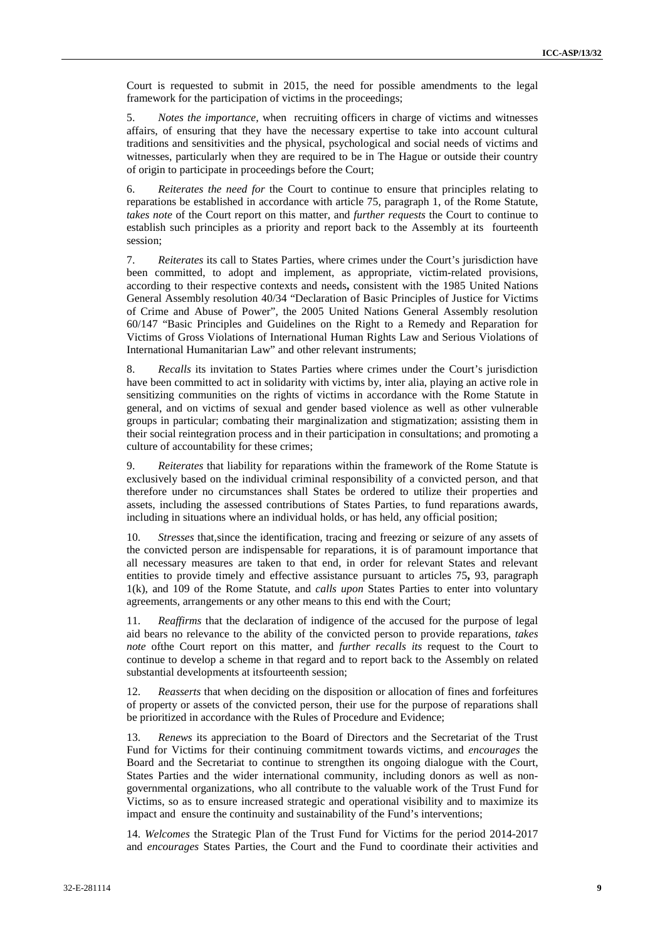Court is requested to submit in 2015, the need for possible amendments to the legal framework for the participation of victims in the proceedings;

5. *Notes the importance,* when recruiting officers in charge of victims and witnesses affairs, of ensuring that they have the necessary expertise to take into account cultural traditions and sensitivities and the physical, psychological and social needs of victims and witnesses, particularly when they are required to be in The Hague or outside their country of origin to participate in proceedings before the Court;

6. *Reiterates the need for* the Court to continue to ensure that principles relating to reparations be established in accordance with article 75, paragraph 1, of the Rome Statute, *takes note* of the Court report on this matter, and *further requests* the Court to continue to establish such principles as a priority and report back to the Assembly at its fourteenth session;

7. *Reiterates* its call to States Parties, where crimes under the Court's jurisdiction have been committed, to adopt and implement, as appropriate, victim-related provisions, according to their respective contexts and needs**,** consistent with the 1985 United Nations General Assembly resolution 40/34 "Declaration of Basic Principles of Justice for Victims of Crime and Abuse of Power", the 2005 United Nations General Assembly resolution 60/147 "Basic Principles and Guidelines on the Right to a Remedy and Reparation for Victims of Gross Violations of International Human Rights Law and Serious Violations of International Humanitarian Law" and other relevant instruments;

8. *Recalls* its invitation to States Parties where crimes under the Court's jurisdiction have been committed to act in solidarity with victims by, inter alia, playing an active role in sensitizing communities on the rights of victims in accordance with the Rome Statute in general, and on victims of sexual and gender based violence as well as other vulnerable groups in particular; combating their marginalization and stigmatization; assisting them in their social reintegration process and in their participation in consultations; and promoting a culture of accountability for these crimes;

9. *Reiterates* that liability for reparations within the framework of the Rome Statute is exclusively based on the individual criminal responsibility of a convicted person, and that therefore under no circumstances shall States be ordered to utilize their properties and assets, including the assessed contributions of States Parties, to fund reparations awards, including in situations where an individual holds, or has held, any official position;

10. *Stresses* that,since the identification, tracing and freezing or seizure of any assets of the convicted person are indispensable for reparations, it is of paramount importance that all necessary measures are taken to that end, in order for relevant States and relevant entities to provide timely and effective assistance pursuant to articles 75**,** 93, paragraph 1(k), and 109 of the Rome Statute, and *calls upon* States Parties to enter into voluntary agreements, arrangements or any other means to this end with the Court;

11. *Reaffirms* that the declaration of indigence of the accused for the purpose of legal aid bears no relevance to the ability of the convicted person to provide reparations, *takes note* ofthe Court report on this matter, and *further recalls its* request to the Court to continue to develop a scheme in that regard and to report back to the Assembly on related substantial developments at itsfourteenth session;

12. *Reasserts* that when deciding on the disposition or allocation of fines and forfeitures of property or assets of the convicted person, their use for the purpose of reparations shall be prioritized in accordance with the Rules of Procedure and Evidence;

13. *Renews* its appreciation to the Board of Directors and the Secretariat of the Trust Fund for Victims for their continuing commitment towards victims, and *encourages* the Board and the Secretariat to continue to strengthen its ongoing dialogue with the Court, States Parties and the wider international community, including donors as well as non governmental organizations, who all contribute to the valuable work of the Trust Fund for Victims, so as to ensure increased strategic and operational visibility and to maximize its impact and ensure the continuity and sustainability of the Fund's interventions;

14. *Welcomes* the Strategic Plan of the Trust Fund for Victims for the period 2014-2017 and *encourages* States Parties, the Court and the Fund to coordinate their activities and